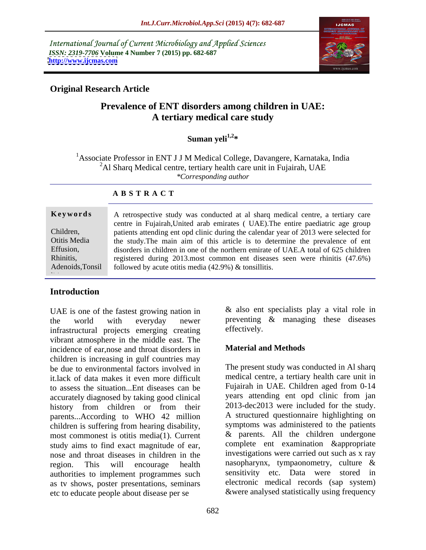International Journal of Current Microbiology and Applied Sciences *ISSN: 2319-7706* **Volume 4 Number 7 (2015) pp. 682-687 <http://www.ijcmas.com>**



## **Original Research Article**

# **Prevalence of ENT disorders among children in UAE: A tertiary medical care study**

**Suman yeli1,2\***

<sup>1</sup> Associate Professor in ENT J J M Medical College, Davangere, Karnataka, India <sup>2</sup>Al Sharq Medical centre, tertiary health care unit in Fujairah, UAE *\*Corresponding author*

#### **A B S T R A C T**

 $\ddot{\cdot}$ 

A retrospective study was conducted at al sharq medical centre, a tertiary care **Ke ywo rds** centre in Fujairah,United arab emirates ( UAE).The entire paediatric age group patients attending ent opd clinic during the calendar year of 2013 were selected for Children, Otitis Media  $\qquad$  the study. The main aim of this article is to determine the prevalence of ent disorders in children in one of the northern emirate of UAE.A total of 625 children Effusion, registered during 2013.most common ent diseases seen were rhinitis (47.6%) Rhinitis, Adenoids, Tonsil followed by acute otitis media (42.9%) & tonsillitis.

## **Introduction**

UAE is one of the fastest growing nation in the world with everyday newer preventing & managing these diseases infrastructural projects emerging creating effectively. vibrant atmosphere in the middle east. The<br>incidence of ear nose and throat disorders in **Material and Methods** incidence of ear,nose and throat disorders in children is increasing in gulf countries may be due to environmental factors involved in it.lack of data makes it even more difficult to assess the situation...Ent diseases can be accurately diagnosed by taking good clinical history from children or from their parents...According to WHO 42 million children is suffering from hearing disability, most commonest is otitis media(1). Current study aims to find exact magnitude of ear, nose and throat diseases in children in the region. This will encourage health nasopharynx, tympaonometry, culture & authorities to implement programmes such as tv shows, poster presentations, seminars etc to educate people about disease per se

 $&$  also ent specialists play a vital role in effectively.

### **Material and Methods**

The present study was conducted in Al sharq medical centre, a tertiary health care unit in Fujairah in UAE. Children aged from 0-14 years attending ent opd clinic from jan 2013-dec2013 were included for the study. A structured questionnaire highlighting on symptoms was administered to the patients & parents. All the children undergone complete ent examination &appropriate investigations were carried out such as x ray sensitivity etc. Data were stored in electronic medical records (sap system) &were analysed statistically using frequency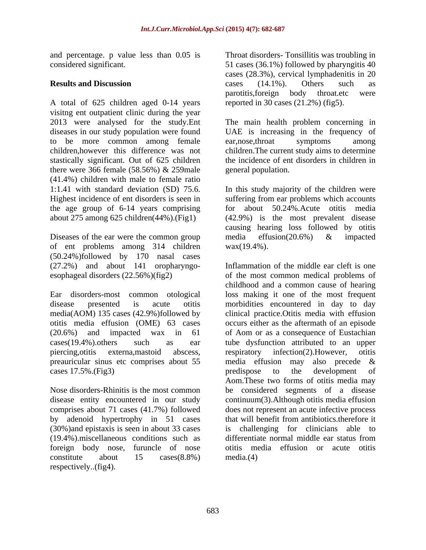and percentage. p value less than 0.05 is Throat disorders-Tonsillitis was troubling in

A total of 625 children aged 0-14 years visitng ent outpatient clinic during the year 2013 were analysed for the study.Ent The main health problem concerning in diseases in our study population were found UAE is increasing in the frequency of to be more common among female ear, nose, throat symptoms among children,however this difference was not children.The current study aims to determine stastically significant. Out of 625 children there were 366 female (58.56%) & 259male (41.4%) children with male to female ratio the age group of 6-14 years comprising

Diseases of the ear were the common group media effusion(20.6%) & impacted of ent problems among 314 children (50.24%)followed by 170 nasal cases (27.2%) and about 141 oropharyngo-

preauricular sinus etc comprises about 55 media effusion may also precede & cases 17.5%.(Fig3) predispose to the development of

comprises about 71 cases (41.7%) followed (30%)and epistaxis is seen in about 33 cases (19.4%).miscellaneous conditions such as constitute about 15 cases(8.8%)

considered significant. 51 cases (36.1%) followed by pharyngitis 40 **Results and Discussion Cases** (14.1%). Others such as cases (28.3%), cervical lymphadenitis in 20 cases (14.1%). Others such as parotitis,foreign body throat.etc were reported in 30 cases (21.2%) (fig5).

> ear,nose,throat symptoms among the incidence of ent disorders in children in general population.

1:1.41 with standard deviation (SD) 75.6. In this study majority of the children were Highest incidence of ent disorders is seen in suffering from ear problems which accounts about 275 among 625 children(44%).(Fig1) (42.9%) is the most prevalent disease 50.24%.Acute otitis media causing hearing loss followed by otitis media effusion(20.6%) & impacted  $\text{wax}(19.4\%)$ .

esophageal disorders (22.56%)(fig2) of the most common medical problems of Ear disorders-most common otological loss making it one of the most frequent disease presented is acute otitis morbidities encountered in day to day media(AOM) 135 cases (42.9%)followed by clinical practice.Otitis media with effusion otitis media effusion (OME) 63 cases occurs either as the aftermath of an episode (20.6%) and impacted wax in 61 of Aom or as a consequence of Eustachian cases(19.4%).others such as ear tube dysfunction attributed to an upper piercing,otitis externa,mastoid abscess, Nose disorders-Rhinitis is the most common be considered segments of a disease disease entity encountered in our study continuum(3).Although otitis media effusion by adenoid hypertrophy in 51 cases that will benefit from antibiotics.therefore it foreign body nose, furuncle of nose otitis media effusion or acute otitis and precentings. p value and posted and precention of the most disorders- Tonsillitis was troubling in<br>  $\alpha$ , then the spectral spectral value of the spectral considered state.<br> **Results and Discussion**<br> **Results and Disc** Inflammation of the middle ear cleft is one childhood and a common cause of hearing respiratory infection(2).However, otitis media effusion may also precede & predispose to the development of Aom.These two forms of otitis media may does not represent an acute infective process challenging for clinicians able to differentiate normal middle ear status from media.(4)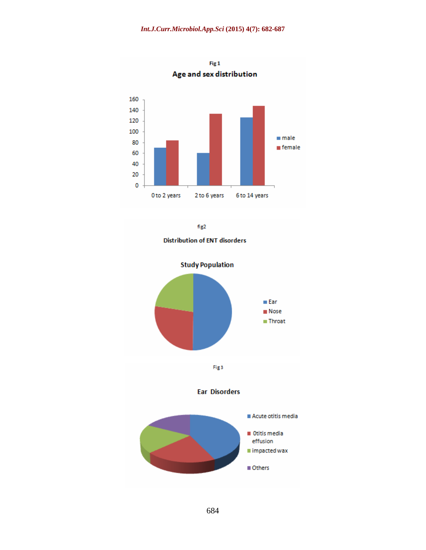

Fig<sub>1</sub> Age and sex distribution

 $fig2$ 

**Distribution of ENT disorders** 

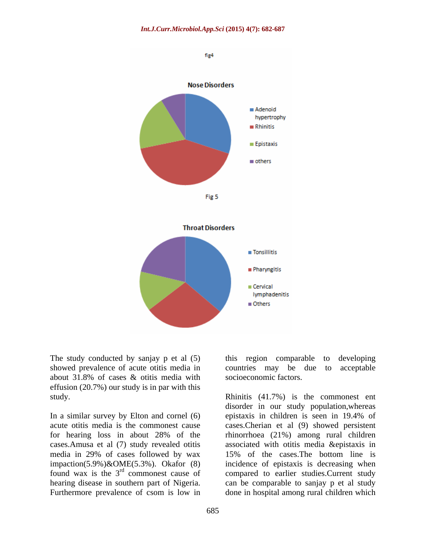

The study conducted by sanjay p et al (5) this region comparable to developing showed prevalence of acute otitis media in countries may be due to acceptable about 31.8% of cases & otitis media with effusion (20.7%) our study is in par with this

media in 29% of cases followed by wax impaction(5.9%)&OME(5.3%). Okafor (8)<br>found wax is the  $3<sup>rd</sup>$  commonest cause of Furthermore prevalence of csom is low in done in hospital among rural children which

this region comparable to developing countries may be due to socioeconomic factors.

study. Rhinitis (41.7%) is the commonest ent In a similar survey by Elton and cornel (6) epistaxis in children is seen in 19.4% of acute otitis media is the commonest cause cases.Cherian et al (9) showed persistent for hearing loss in about 28% of the rhinorrhoea (21%) among rural children cases.Amusa et al (7) study revealed otitis associated with otitis media &epistaxis in found wax is the  $3<sup>rd</sup>$  commonest cause of compared to earlier studies. Current study hearing disease in southern part of Nigeria. can be comparable to sanjay p et al study disorder in our study population,whereas epistaxis in children is seen in 19.4% of 15% of the cases.The bottom line is incidence of epistaxis is decreasing when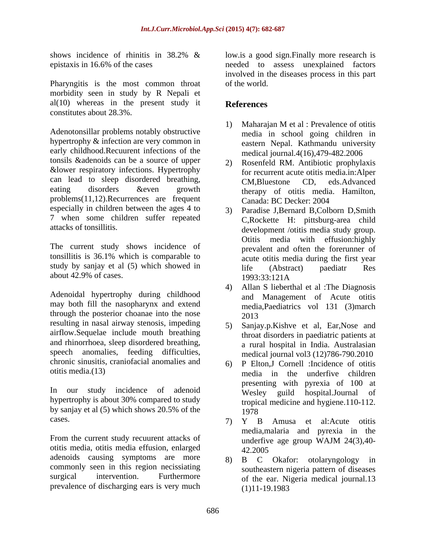Pharyngitis is the most common throat of the world. morbidity seen in study by R Nepali et  $al(10)$  whereas in the present study it **References** constitutes about 28.3%.

Adenotonsillar problems notably obstructive hypertrophy & infection are very common in early childhood.Recuurent infections of the tonsils &adenoids can be a source of upper &lower respiratory infections. Hypertrophy can lead to sleep disordered breathing, <br>
CM.Bluestone CD. eds.Advanced eating disorders & even growth therapy of otitis media. Hamilton, problems(11,12). Recurrences are frequent Canada: BC Decker: 2004 especially in children between the ages 4 to 7 when some children suffer repeated

The current study shows incidence of tonsillitis is 36.1% which is comparable to study by sanjay et al (5) which showed in  $\overline{\text{life}}$  (Abstract) paediatr Res about  $42.9\%$  of cases.  $1993.33.121 \text{A}$ 

Adenoidal hypertrophy during childhood may both fill the nasopharynx and extend through the posterior choanae into the nose 2013 resulting in nasal airway stenosis, impeding 5 airflow.Sequelae include mouth breathing and rhinorrhoea, sleep disordered breathing, speech anomalies, feeding difficulties, chronic sinusitis, craniofacial anomalies and

In our study incidence of adenoid hypertrophy is about 30% compared to study by sanjay et al  $(5)$  which shows 20.5% of the  $1978$ 

From the current study recuurent attacks of underfive age group WAJM 24(3),40otitis media, otitis media effusion, enlarged adenoids causing symptoms are more a s B C Okafor: otolaryngology in prevalence of discharging ears is very much

shows incidence of rhinitis in 38.2% & low.is a good sign. Finally more research is epistaxis in 16.6% of the cases needed to assess unexplained factors low.is a good sign.Finally more research is involved in the diseases process in this part of the world.

## **References**

- 1) Maharajan M et al : Prevalence of otitis media in school going children in eastern Nepal. Kathmandu university medical journal.4(16),479-482.2006
- 2) Rosenfeld RM. Antibiotic prophylaxis for recurrent acute otitis media.in:Alper CM,Bluestone CD, eds.Advanced Canada: BC Decker: 2004
- attacks of tonsillitis. development /otitis media study group. 3) Paradise J,Bernard B,Colborn D,Smith C,Rockette H: pittsburg-area child Otitis media with effusion:highly prevalent and often the forerunner of acute otitis media during the first year life (Abstract) paediatr Res 1993:33:121A
	- 4) Allan S lieberthal et al :The Diagnosis and Management of Acute otitis media,Paediatrics vol 131 (3)march 2013
	- 5) Sanjay.p.Kishve et al, Ear,Nose and throat disorders in paediatric patients at a rural hospital in India. Australasian medical journal vol3 (12)786-790.2010
- otitis media.(13) media in the underfive children 6) P Elton,J Cornell :Incidence of otitis presenting with pyrexia of 100 at Wesley guild hospital.Journal of tropical medicine and hygiene.110-112. 1978
- cases. 7) Y B Amusa et al:Acute otitis media,malaria and pyrexia in the underfive age group WAJM 24(3),40- 42.2005
- commonly seen in this region necissiating southeastern nigeria pattern of diseases surgical intervention. Furthermore of the ear. Nigeria medical journal.13 B C Okafor: otolaryngology (1)11-19.1983